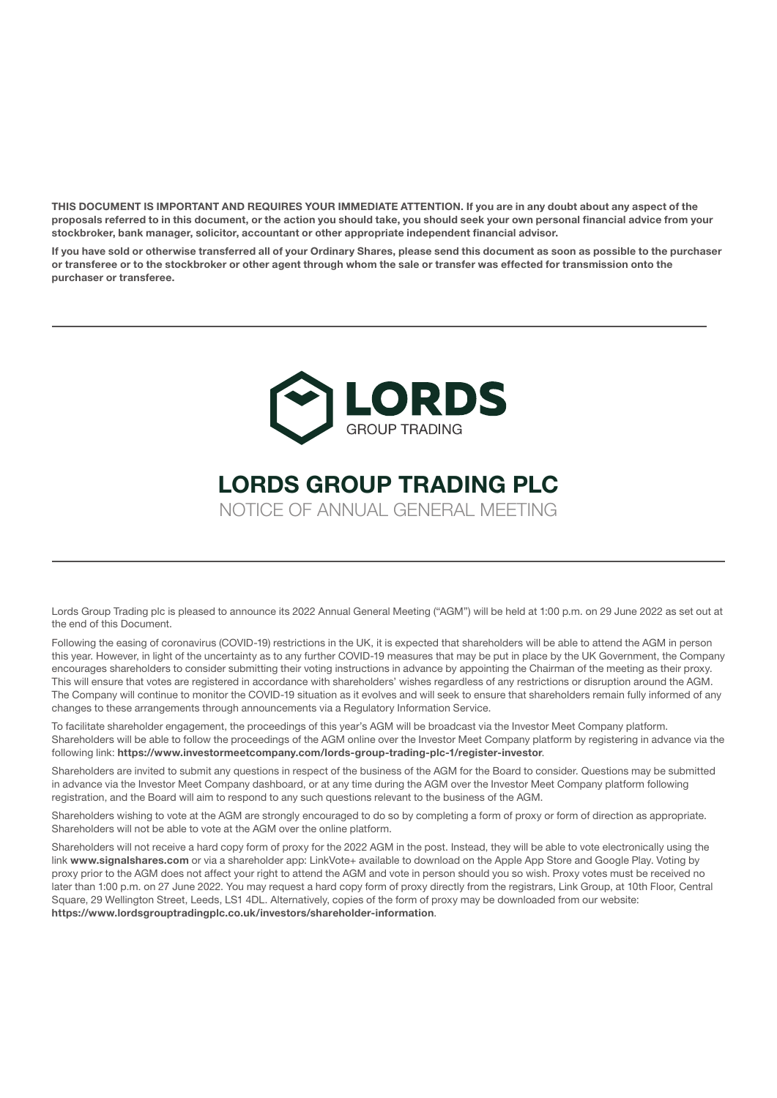THIS DOCUMENT IS IMPORTANT AND REQUIRES YOUR IMMEDIATE ATTENTION. If you are in any doubt about any aspect of the proposals referred to in this document, or the action you should take, you should seek your own personal financial advice from your stockbroker, bank manager, solicitor, accountant or other appropriate independent financial advisor.

If you have sold or otherwise transferred all of your Ordinary Shares, please send this document as soon as possible to the purchaser or transferee or to the stockbroker or other agent through whom the sale or transfer was effected for transmission onto the purchaser or transferee.



# LORDS GROUP TRADING PLC

NOTICE OF ANNUAL GENERAL MEETING

Lords Group Trading plc is pleased to announce its 2022 Annual General Meeting ("AGM") will be held at 1:00 p.m. on 29 June 2022 as set out at the end of this Document.

Following the easing of coronavirus (COVID-19) restrictions in the UK, it is expected that shareholders will be able to attend the AGM in person this year. However, in light of the uncertainty as to any further COVID-19 measures that may be put in place by the UK Government, the Company encourages shareholders to consider submitting their voting instructions in advance by appointing the Chairman of the meeting as their proxy. This will ensure that votes are registered in accordance with shareholders' wishes regardless of any restrictions or disruption around the AGM. The Company will continue to monitor the COVID-19 situation as it evolves and will seek to ensure that shareholders remain fully informed of any changes to these arrangements through announcements via a Regulatory Information Service.

To facilitate shareholder engagement, the proceedings of this year's AGM will be broadcast via the Investor Meet Company platform. Shareholders will be able to follow the proceedings of the AGM online over the Investor Meet Company platform by registering in advance via the following link: https://www.investormeetcompany.com/lords-group-trading-plc-1/register-investor.

Shareholders are invited to submit any questions in respect of the business of the AGM for the Board to consider. Questions may be submitted in advance via the Investor Meet Company dashboard, or at any time during the AGM over the Investor Meet Company platform following registration, and the Board will aim to respond to any such questions relevant to the business of the AGM.

Shareholders wishing to vote at the AGM are strongly encouraged to do so by completing a form of proxy or form of direction as appropriate. Shareholders will not be able to vote at the AGM over the online platform.

Shareholders will not receive a hard copy form of proxy for the 2022 AGM in the post. Instead, they will be able to vote electronically using the link www.signalshares.com or via a shareholder app: LinkVote+ available to download on the Apple App Store and Google Play. Voting by proxy prior to the AGM does not affect your right to attend the AGM and vote in person should you so wish. Proxy votes must be received no later than 1:00 p.m. on 27 June 2022. You may request a hard copy form of proxy directly from the registrars, Link Group, at 10th Floor, Central Square, 29 Wellington Street, Leeds, LS1 4DL. Alternatively, copies of the form of proxy may be downloaded from our website: https://www.lordsgrouptradingplc.co.uk/investors/shareholder-information.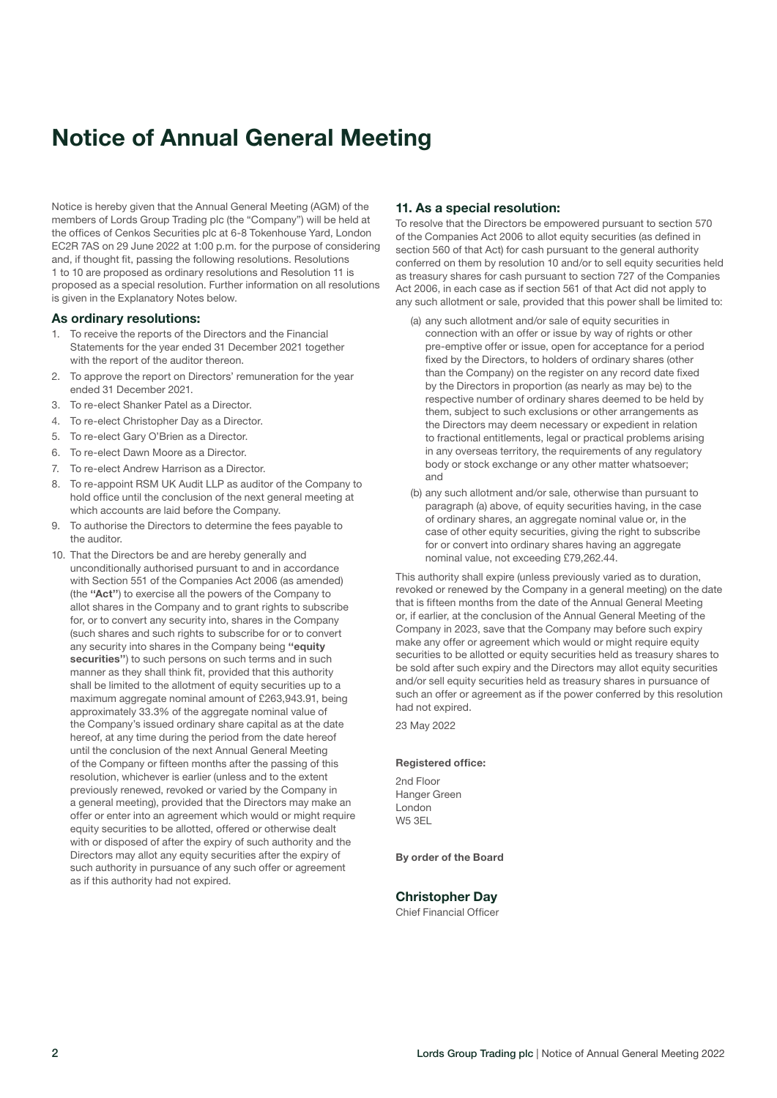### Notice of Annual General Meeting

Notice is hereby given that the Annual General Meeting (AGM) of the members of Lords Group Trading plc (the "Company") will be held at the offices of Cenkos Securities plc at 6-8 Tokenhouse Yard, London EC2R 7AS on 29 June 2022 at 1:00 p.m. for the purpose of considering and, if thought fit, passing the following resolutions. Resolutions 1 to 10 are proposed as ordinary resolutions and Resolution 11 is proposed as a special resolution. Further information on all resolutions is given in the Explanatory Notes below.

#### As ordinary resolutions:

- 1. To receive the reports of the Directors and the Financial Statements for the year ended 31 December 2021 together with the report of the auditor thereon.
- 2. To approve the report on Directors' remuneration for the year ended 31 December 2021.
- 3. To re-elect Shanker Patel as a Director.
- 4. To re-elect Christopher Day as a Director.
- 5. To re-elect Gary O'Brien as a Director.
- 6. To re-elect Dawn Moore as a Director.
- 7. To re-elect Andrew Harrison as a Director.
- 8. To re-appoint RSM UK Audit LLP as auditor of the Company to hold office until the conclusion of the next general meeting at which accounts are laid before the Company.
- 9. To authorise the Directors to determine the fees payable to the auditor.
- 10. That the Directors be and are hereby generally and unconditionally authorised pursuant to and in accordance with Section 551 of the Companies Act 2006 (as amended) (the ''Act'') to exercise all the powers of the Company to allot shares in the Company and to grant rights to subscribe for, or to convert any security into, shares in the Company (such shares and such rights to subscribe for or to convert any security into shares in the Company being "equity securities") to such persons on such terms and in such manner as they shall think fit, provided that this authority shall be limited to the allotment of equity securities up to a maximum aggregate nominal amount of £263,943.91, being approximately 33.3% of the aggregate nominal value of the Company's issued ordinary share capital as at the date hereof, at any time during the period from the date hereof until the conclusion of the next Annual General Meeting of the Company or fifteen months after the passing of this resolution, whichever is earlier (unless and to the extent previously renewed, revoked or varied by the Company in a general meeting), provided that the Directors may make an offer or enter into an agreement which would or might require equity securities to be allotted, offered or otherwise dealt with or disposed of after the expiry of such authority and the Directors may allot any equity securities after the expiry of such authority in pursuance of any such offer or agreement as if this authority had not expired.

#### 11. As a special resolution:

To resolve that the Directors be empowered pursuant to section 570 of the Companies Act 2006 to allot equity securities (as defined in section 560 of that Act) for cash pursuant to the general authority conferred on them by resolution 10 and/or to sell equity securities held as treasury shares for cash pursuant to section 727 of the Companies Act 2006, in each case as if section 561 of that Act did not apply to any such allotment or sale, provided that this power shall be limited to:

- (a) any such allotment and/or sale of equity securities in connection with an offer or issue by way of rights or other pre-emptive offer or issue, open for acceptance for a period fixed by the Directors, to holders of ordinary shares (other than the Company) on the register on any record date fixed by the Directors in proportion (as nearly as may be) to the respective number of ordinary shares deemed to be held by them, subject to such exclusions or other arrangements as the Directors may deem necessary or expedient in relation to fractional entitlements, legal or practical problems arising in any overseas territory, the requirements of any regulatory body or stock exchange or any other matter whatsoever; and
- (b) any such allotment and/or sale, otherwise than pursuant to paragraph (a) above, of equity securities having, in the case of ordinary shares, an aggregate nominal value or, in the case of other equity securities, giving the right to subscribe for or convert into ordinary shares having an aggregate nominal value, not exceeding £79,262.44.

This authority shall expire (unless previously varied as to duration, revoked or renewed by the Company in a general meeting) on the date that is fifteen months from the date of the Annual General Meeting or, if earlier, at the conclusion of the Annual General Meeting of the Company in 2023, save that the Company may before such expiry make any offer or agreement which would or might require equity securities to be allotted or equity securities held as treasury shares to be sold after such expiry and the Directors may allot equity securities and/or sell equity securities held as treasury shares in pursuance of such an offer or agreement as if the power conferred by this resolution had not expired.

23 May 2022

#### Registered office:

2nd Floor Hanger Green London W5 3EL

#### By order of the Board

#### Christopher Day

Chief Financial Officer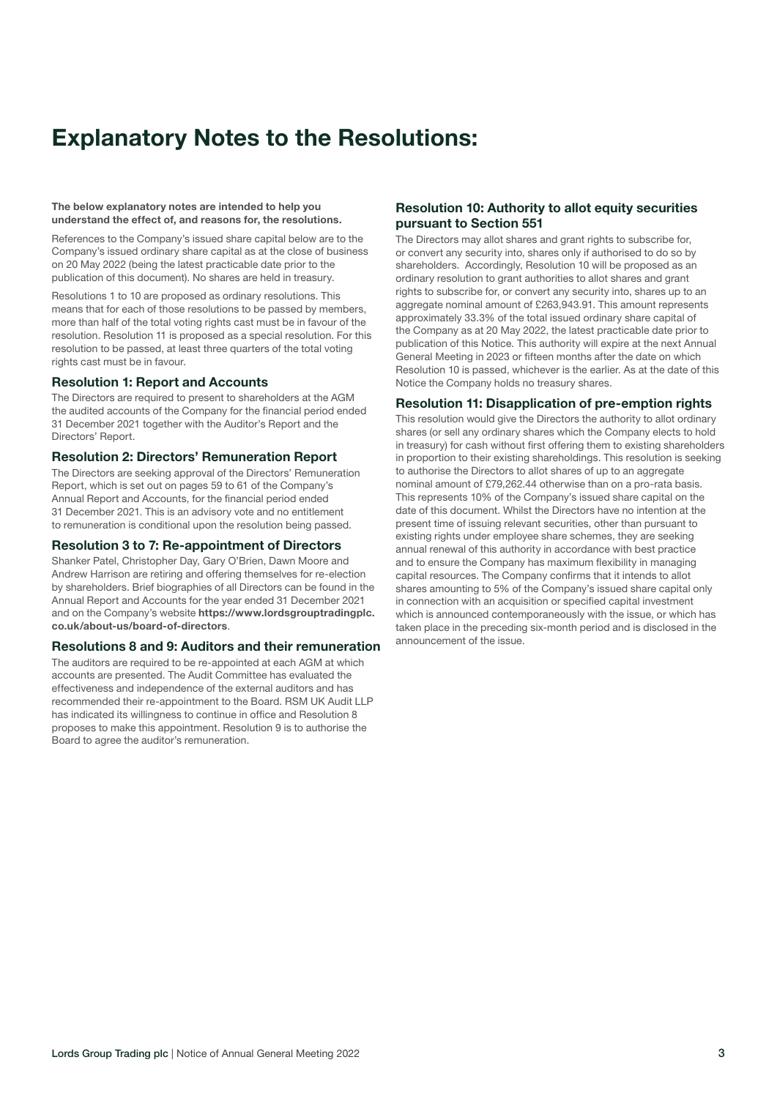### Explanatory Notes to the Resolutions:

#### The below explanatory notes are intended to help you understand the effect of, and reasons for, the resolutions.

References to the Company's issued share capital below are to the Company's issued ordinary share capital as at the close of business on 20 May 2022 (being the latest practicable date prior to the publication of this document). No shares are held in treasury.

Resolutions 1 to 10 are proposed as ordinary resolutions. This means that for each of those resolutions to be passed by members, more than half of the total voting rights cast must be in favour of the resolution. Resolution 11 is proposed as a special resolution. For this resolution to be passed, at least three quarters of the total voting rights cast must be in favour.

#### Resolution 1: Report and Accounts

The Directors are required to present to shareholders at the AGM the audited accounts of the Company for the financial period ended 31 December 2021 together with the Auditor's Report and the Directors' Report.

#### Resolution 2: Directors' Remuneration Report

The Directors are seeking approval of the Directors' Remuneration Report, which is set out on pages 59 to 61 of the Company's Annual Report and Accounts, for the financial period ended 31 December 2021. This is an advisory vote and no entitlement to remuneration is conditional upon the resolution being passed.

#### Resolution 3 to 7: Re-appointment of Directors

Shanker Patel, Christopher Day, Gary O'Brien, Dawn Moore and Andrew Harrison are retiring and offering themselves for re-election by shareholders. Brief biographies of all Directors can be found in the Annual Report and Accounts for the year ended 31 December 2021 and on the Company's website [https://www.lordsgrouptradingplc.](https://www.lordsgrouptradingplc.co.uk/about-us/board-of-directors) co.uk/about-us/board-of-directors.

#### Resolutions 8 and 9: Auditors and their remuneration

The auditors are required to be re-appointed at each AGM at which accounts are presented. The Audit Committee has evaluated the effectiveness and independence of the external auditors and has recommended their re-appointment to the Board. RSM UK Audit LLP has indicated its willingness to continue in office and Resolution 8 proposes to make this appointment. Resolution 9 is to authorise the Board to agree the auditor's remuneration.

#### Resolution 10: Authority to allot equity securities pursuant to Section 551

The Directors may allot shares and grant rights to subscribe for, or convert any security into, shares only if authorised to do so by shareholders. Accordingly, Resolution 10 will be proposed as an ordinary resolution to grant authorities to allot shares and grant rights to subscribe for, or convert any security into, shares up to an aggregate nominal amount of £263,943,91. This amount represents approximately 33.3% of the total issued ordinary share capital of the Company as at 20 May 2022, the latest practicable date prior to publication of this Notice. This authority will expire at the next Annual General Meeting in 2023 or fifteen months after the date on which Resolution 10 is passed, whichever is the earlier. As at the date of this Notice the Company holds no treasury shares.

#### Resolution 11: Disapplication of pre-emption rights

This resolution would give the Directors the authority to allot ordinary shares (or sell any ordinary shares which the Company elects to hold in treasury) for cash without first offering them to existing shareholders in proportion to their existing shareholdings. This resolution is seeking to authorise the Directors to allot shares of up to an aggregate nominal amount of £79,262.44 otherwise than on a pro-rata basis. This represents 10% of the Company's issued share capital on the date of this document. Whilst the Directors have no intention at the present time of issuing relevant securities, other than pursuant to existing rights under employee share schemes, they are seeking annual renewal of this authority in accordance with best practice and to ensure the Company has maximum flexibility in managing capital resources. The Company confirms that it intends to allot shares amounting to 5% of the Company's issued share capital only in connection with an acquisition or specified capital investment which is announced contemporaneously with the issue, or which has taken place in the preceding six-month period and is disclosed in the announcement of the issue.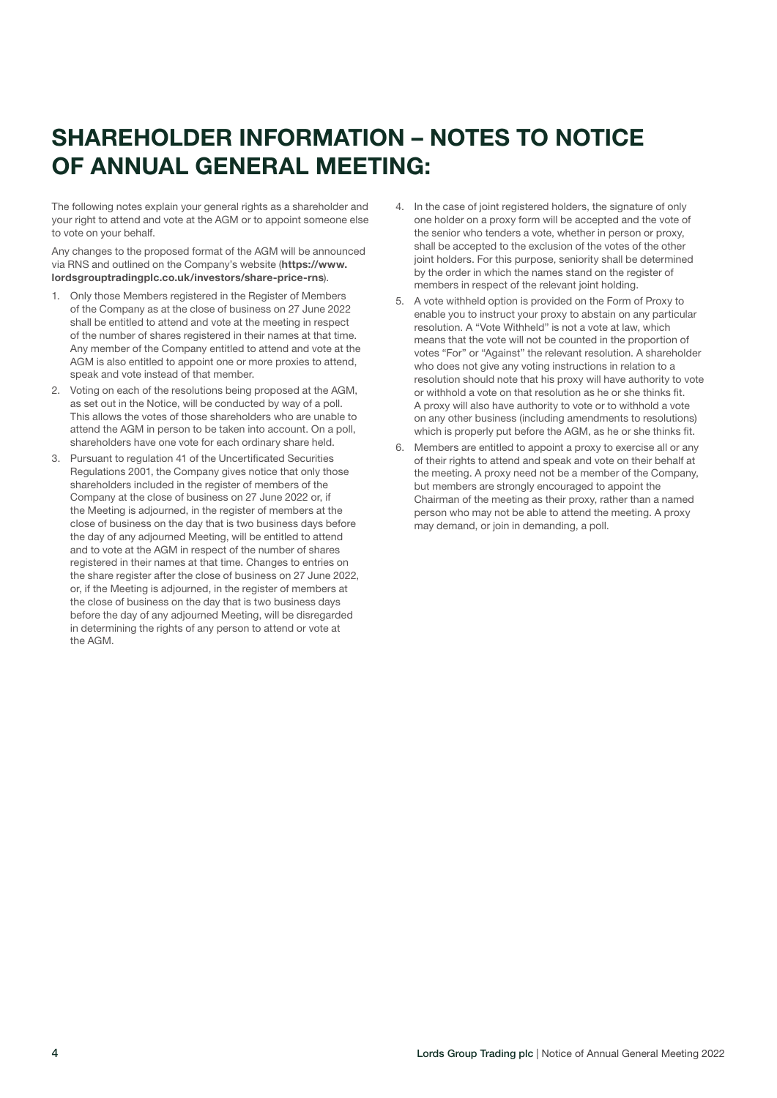## SHAREHOLDER INFORMATION – NOTES TO NOTICE OF ANNUAL GENERAL MEETING:

The following notes explain your general rights as a shareholder and your right to attend and vote at the AGM or to appoint someone else to vote on your behalf.

Any changes to the proposed format of the AGM will be announced via RNS and outlined on the Company's website (https://www. [lordsgrouptradingplc.co.uk/investors/share-price-rns](https://www.lordsgrouptradingplc.co.uk/investors/share-price-rns)).

- 1. Only those Members registered in the Register of Members of the Company as at the close of business on 27 June 2022 shall be entitled to attend and vote at the meeting in respect of the number of shares registered in their names at that time. Any member of the Company entitled to attend and vote at the AGM is also entitled to appoint one or more proxies to attend, speak and vote instead of that member.
- 2. Voting on each of the resolutions being proposed at the AGM, as set out in the Notice, will be conducted by way of a poll. This allows the votes of those shareholders who are unable to attend the AGM in person to be taken into account. On a poll, shareholders have one vote for each ordinary share held.
- 3. Pursuant to regulation 41 of the Uncertificated Securities Regulations 2001, the Company gives notice that only those shareholders included in the register of members of the Company at the close of business on 27 June 2022 or, if the Meeting is adjourned, in the register of members at the close of business on the day that is two business days before the day of any adjourned Meeting, will be entitled to attend and to vote at the AGM in respect of the number of shares registered in their names at that time. Changes to entries on the share register after the close of business on 27 June 2022, or, if the Meeting is adjourned, in the register of members at the close of business on the day that is two business days before the day of any adjourned Meeting, will be disregarded in determining the rights of any person to attend or vote at the AGM.
- 4. In the case of joint registered holders, the signature of only one holder on a proxy form will be accepted and the vote of the senior who tenders a vote, whether in person or proxy, shall be accepted to the exclusion of the votes of the other joint holders. For this purpose, seniority shall be determined by the order in which the names stand on the register of members in respect of the relevant joint holding.
- 5. A vote withheld option is provided on the Form of Proxy to enable you to instruct your proxy to abstain on any particular resolution. A "Vote Withheld" is not a vote at law, which means that the vote will not be counted in the proportion of votes "For" or "Against" the relevant resolution. A shareholder who does not give any voting instructions in relation to a resolution should note that his proxy will have authority to vote or withhold a vote on that resolution as he or she thinks fit. A proxy will also have authority to vote or to withhold a vote on any other business (including amendments to resolutions) which is properly put before the AGM, as he or she thinks fit.
- 6. Members are entitled to appoint a proxy to exercise all or any of their rights to attend and speak and vote on their behalf at the meeting. A proxy need not be a member of the Company, but members are strongly encouraged to appoint the Chairman of the meeting as their proxy, rather than a named person who may not be able to attend the meeting. A proxy may demand, or join in demanding, a poll.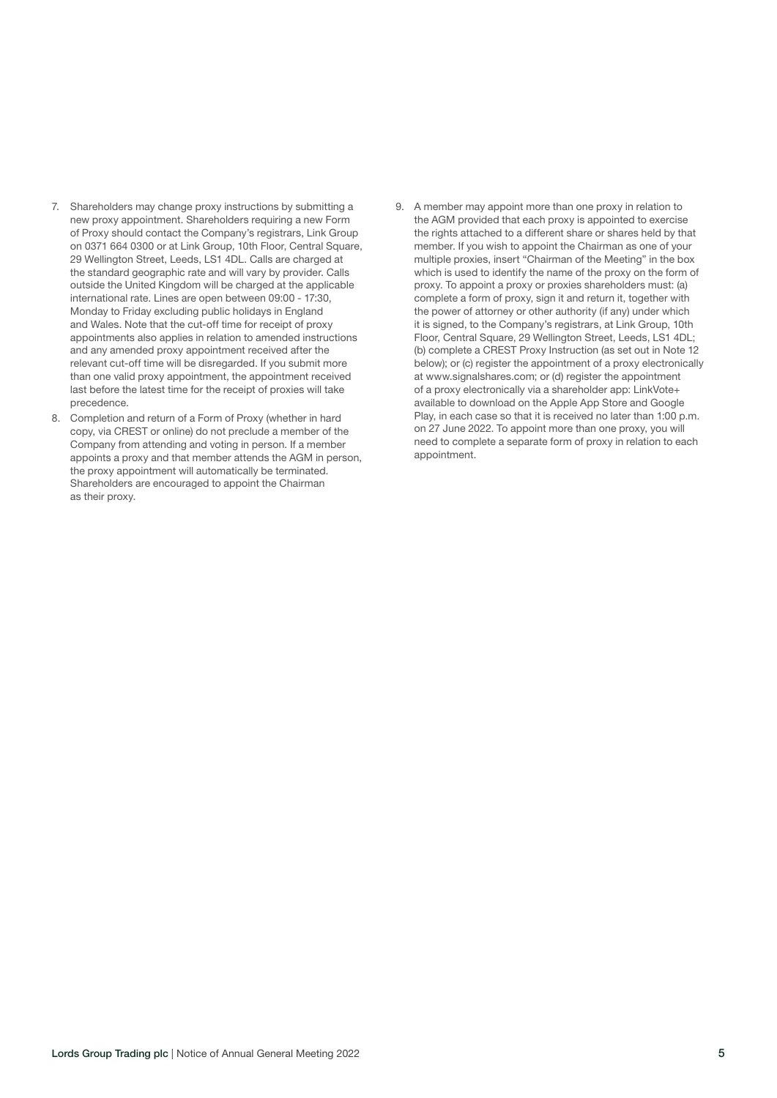- 7. Shareholders may change proxy instructions by submitting a new proxy appointment. Shareholders requiring a new Form of Proxy should contact the Company's registrars, Link Group on 0371 664 0300 or at Link Group, 10th Floor, Central Square, 29 Wellington Street, Leeds, LS1 4DL. Calls are charged at the standard geographic rate and will vary by provider. Calls outside the United Kingdom will be charged at the applicable international rate. Lines are open between 09:00 - 17:30, Monday to Friday excluding public holidays in England and Wales. Note that the cut-off time for receipt of proxy appointments also applies in relation to amended instructions and any amended proxy appointment received after the relevant cut-off time will be disregarded. If you submit more than one valid proxy appointment, the appointment received last before the latest time for the receipt of proxies will take precedence.
- 8. Completion and return of a Form of Proxy (whether in hard copy, via CREST or online) do not preclude a member of the Company from attending and voting in person. If a member appoints a proxy and that member attends the AGM in person, the proxy appointment will automatically be terminated. Shareholders are encouraged to appoint the Chairman as their proxy.
- 9. A member may appoint more than one proxy in relation to the AGM provided that each proxy is appointed to exercise the rights attached to a different share or shares held by that member. If you wish to appoint the Chairman as one of your multiple proxies, insert "Chairman of the Meeting" in the box which is used to identify the name of the proxy on the form of proxy. To appoint a proxy or proxies shareholders must: (a) complete a form of proxy, sign it and return it, together with the power of attorney or other authority (if any) under which it is signed, to the Company's registrars, at Link Group, 10th Floor, Central Square, 29 Wellington Street, Leeds, LS1 4DL; (b) complete a CREST Proxy Instruction (as set out in Note 12 below); or (c) register the appointment of a proxy electronically at www.signalshares.com; or (d) register the appointment of a proxy electronically via a shareholder app: LinkVote+ available to download on the Apple App Store and Google Play, in each case so that it is received no later than 1:00 p.m. on 27 June 2022. To appoint more than one proxy, you will need to complete a separate form of proxy in relation to each appointment.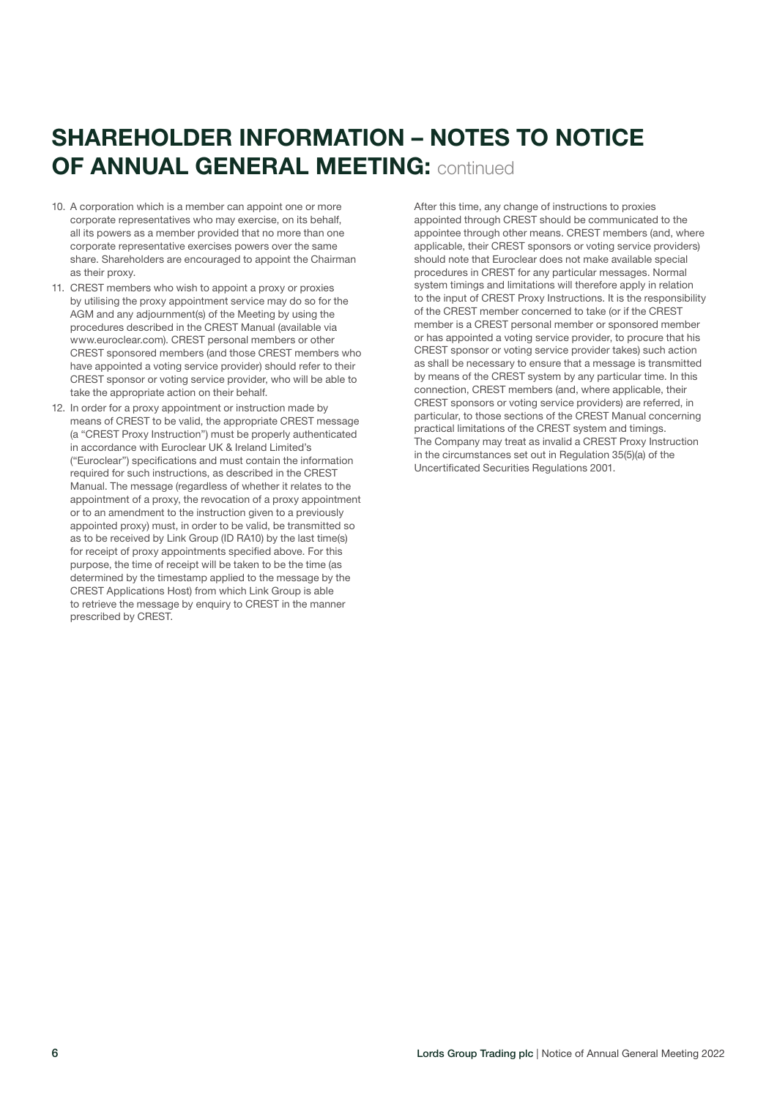## SHAREHOLDER INFORMATION – NOTES TO NOTICE OF ANNUAL GENERAL MEETING: continued

- 10. A corporation which is a member can appoint one or more corporate representatives who may exercise, on its behalf, all its powers as a member provided that no more than one corporate representative exercises powers over the same share. Shareholders are encouraged to appoint the Chairman as their proxy.
- 11. CREST members who wish to appoint a proxy or proxies by utilising the proxy appointment service may do so for the AGM and any adjournment(s) of the Meeting by using the procedures described in the CREST Manual (available via www.euroclear.com). CREST personal members or other CREST sponsored members (and those CREST members who have appointed a voting service provider) should refer to their CREST sponsor or voting service provider, who will be able to take the appropriate action on their behalf.
- 12. In order for a proxy appointment or instruction made by means of CREST to be valid, the appropriate CREST message (a "CREST Proxy Instruction") must be properly authenticated in accordance with Euroclear UK & Ireland Limited's ("Euroclear") specifications and must contain the information required for such instructions, as described in the CREST Manual. The message (regardless of whether it relates to the appointment of a proxy, the revocation of a proxy appointment or to an amendment to the instruction given to a previously appointed proxy) must, in order to be valid, be transmitted so as to be received by Link Group (ID RA10) by the last time(s) for receipt of proxy appointments specified above. For this purpose, the time of receipt will be taken to be the time (as determined by the timestamp applied to the message by the CREST Applications Host) from which Link Group is able to retrieve the message by enquiry to CREST in the manner prescribed by CREST.

After this time, any change of instructions to proxies appointed through CREST should be communicated to the appointee through other means. CREST members (and, where applicable, their CREST sponsors or voting service providers) should note that Euroclear does not make available special procedures in CREST for any particular messages. Normal system timings and limitations will therefore apply in relation to the input of CREST Proxy Instructions. It is the responsibility of the CREST member concerned to take (or if the CREST member is a CREST personal member or sponsored member or has appointed a voting service provider, to procure that his CREST sponsor or voting service provider takes) such action as shall be necessary to ensure that a message is transmitted by means of the CREST system by any particular time. In this connection, CREST members (and, where applicable, their CREST sponsors or voting service providers) are referred, in particular, to those sections of the CREST Manual concerning practical limitations of the CREST system and timings. The Company may treat as invalid a CREST Proxy Instruction in the circumstances set out in Regulation 35(5)(a) of the Uncertificated Securities Regulations 2001.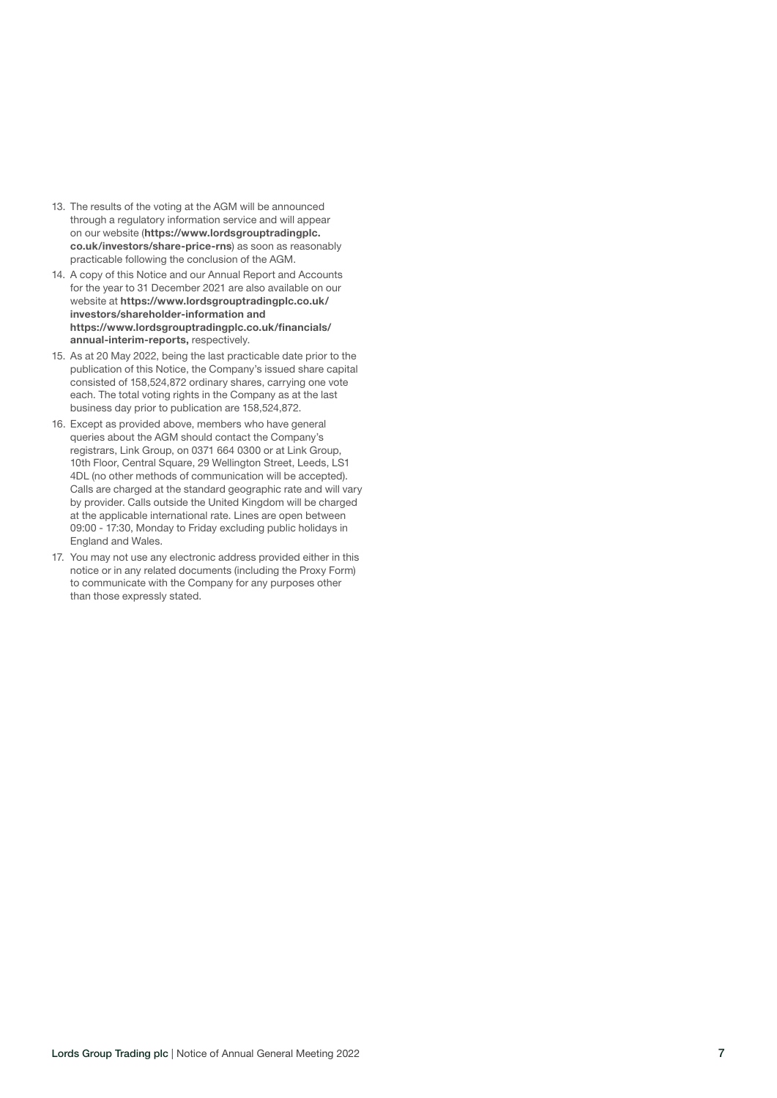- 13. The results of the voting at the AGM will be announced through a regulatory information service and will appear on our website ([https://www.lordsgrouptradingplc.](https://www.lordsgrouptradingplc.co.uk/investors/share-price-rns) co.uk/investors/share-price-rns) as soon as reasonably practicable following the conclusion of the AGM.
- 14. A copy of this Notice and our Annual Report and Accounts for the year to 31 December 2021 are also available on our website at [https://www.lordsgrouptradingplc.co.uk/](https://www.lordsgrouptradingplc.co.uk/investors/shareholder-information) investors/shareholder-information and [https://www.lordsgrouptradingplc.co.uk/financials/](https://www.lordsgrouptradingplc.co.uk/financials/annual-interim-reports) annual-interim-reports, respectively.
- 15. As at 20 May 2022, being the last practicable date prior to the publication of this Notice, the Company's issued share capital consisted of 158,524,872 ordinary shares, carrying one vote each. The total voting rights in the Company as at the last business day prior to publication are 158,524,872.
- 16. Except as provided above, members who have general queries about the AGM should contact the Company's registrars, Link Group, on 0371 664 0300 or at Link Group, 10th Floor, Central Square, 29 Wellington Street, Leeds, LS1 4DL (no other methods of communication will be accepted). Calls are charged at the standard geographic rate and will vary by provider. Calls outside the United Kingdom will be charged at the applicable international rate. Lines are open between 09:00 - 17:30, Monday to Friday excluding public holidays in England and Wales.
- 17. You may not use any electronic address provided either in this notice or in any related documents (including the Proxy Form) to communicate with the Company for any purposes other than those expressly stated.